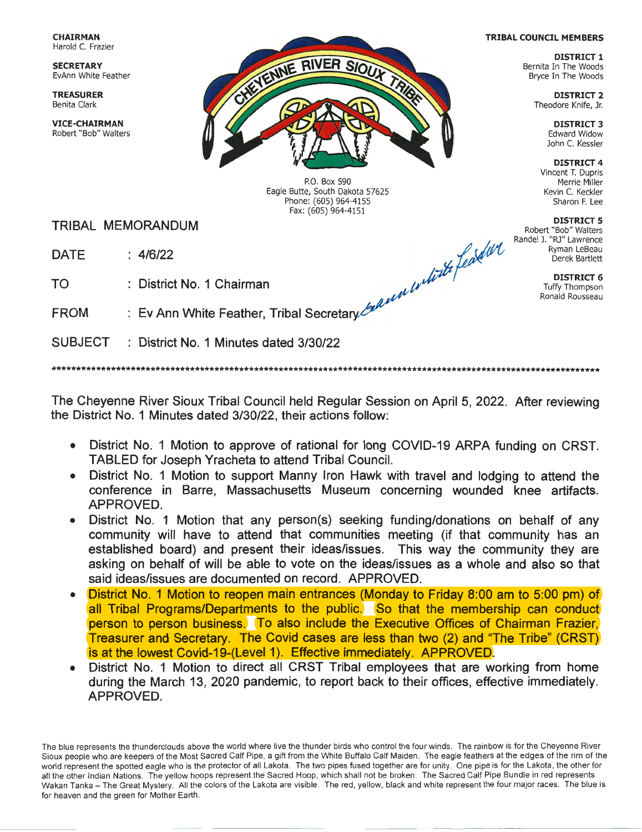**CHAIRMAN**  Harold C. Frazier

**SECRETARY**  EvAnn White Feather

**VICE-CHAIRMAN**  Robert "Bob" Walters



P.O. Box 590 Eagle Butte, South Dakota 57625 Phone: (605) 964-4155 Fax : (605) 964-4151

TRIBAL MEMORANDUM **DISTRICT 5** 

**TO** District No. 1 Chairman *July* **DISTRICT 6 DISTRICT 6 DISTRICT 6** 

FROM  $\;\; : \;$  Ev Ann White Feather, Tribal Secretary $\measuredangle$ 

SUBJECT : District No. 1 Minutes dated 3/30/22

\*\*\*\*\*\*\*\*\*\*\*\*\*\*\*\*\*\*\*\*\*\*\*\*\*\*\*\*\*\*\*\*\*\*\*\*\*\*\*\*\*\*\*\*\*\*\*\*\*\*\*\*\*\*\*\*\*\*\*\*\*\*\*\*\*\*\*\*\*\*\*\*\*\*\*\*\*\*\*\*\*\*\*\*\*\*\*\*\*\*\*\*\*\*\*\*\*\*\*\*\*\*\*\*\*\*\*\*\*\*\*

The Cheyenne River Sioux Tribal Council held Regular Session on April 5, 2022. After reviewing the District No. 1 Minutes dated 3/30/22, their actions follow:

- District No. 1 Motion to approve of rational for long COVID-19 ARPA funding on CRST. TABLED for Joseph Yracheta to attend Tribal Council.
- District No. 1 Motion to support Manny Iron Hawk with travel and lodging to attend the conference in Barre, Massachusetts Museum concerning wounded knee artifacts. APPROVED.
- District No. 1 Motion that any person(s) seeking funding/donations on behalf of any community will have to attend that communities meeting (if that community has an established board) and present their ideas/issues. This way the community they are asking on behalf of will be able to vote on the ideas/issues as a whole and also so that said ideas/issues are documented on record. APPROVED.
- District No. 1 Motion to reopen main entrances (Monday to Friday 8:00 am to 5:00 pm) of all Tribal Programs/Departments to the public. So that the membership can conduct person to person business. To also include the Executive Offices of Chairman Frazier, Treasurer and Secretary. The Covid cases are less than two (2) and "The Tribe" (CRST) is at the lowest Covid-19-(Level 1). Effective immediately. APPROVED.
- District No. 1 Motion to direct all CRST Tribal employees that are working from home during the March 13, 2020 pandemic, to report back to their offices, effective immediately. APPROVED.

The blue represents the thunderclouds above the world where live the thunder birds who control the four winds . The rainbow is for the Cheyenne River Sioux people who are keepers of the Most Sacred Calf Pipe, a gift from the White Buffalo Calf Maiden . The eagle feathers at the edges of the rim of the world represent the spotted eagle who is the protector of all Lakota. The two pipes fused together are for unity. One pipe is for the Lakota, the other for all the other Indian Nations. The yellow hoops represent the Sacred Hoop, which shall not be broken . The Sacred Calf Pipe Bundle in red represents Wakan Tanka - The Great Mystery. All the colors of the Lakota are visible. The red, yellow, black and white represent the four major races. The blue is for heaven and the green for Mother Earth.

## **TRIBAL COUNCIL MEMBERS**

**DISTRICT 1**  Bernita In The Woods Bryce In The Woods

**DISTRICT 3**  Edward Widow John C. Kessler

**DISTRICT 4**  Vincent T. Dupris Merrie Miller Kevin C. Keckler Sharon F. Lee

Robert "Bob" Walters

Randel J. "RJ" Lawrence Phone: (605) 964-4151<br>
Fax: (605) 964-4151<br>
Fax: (605) 964-4151<br>
Fax: (605) 964-4151<br>
Phone: (605) 964-4151<br> **DISTRICT 5**<br>
Red W Randel J. "RJ" Lawrence<br>
Ryman LeBeau<br>
DISTRICT 6<br>
DISTRICT 6

Tuffy Thompson Ronald Rousseau